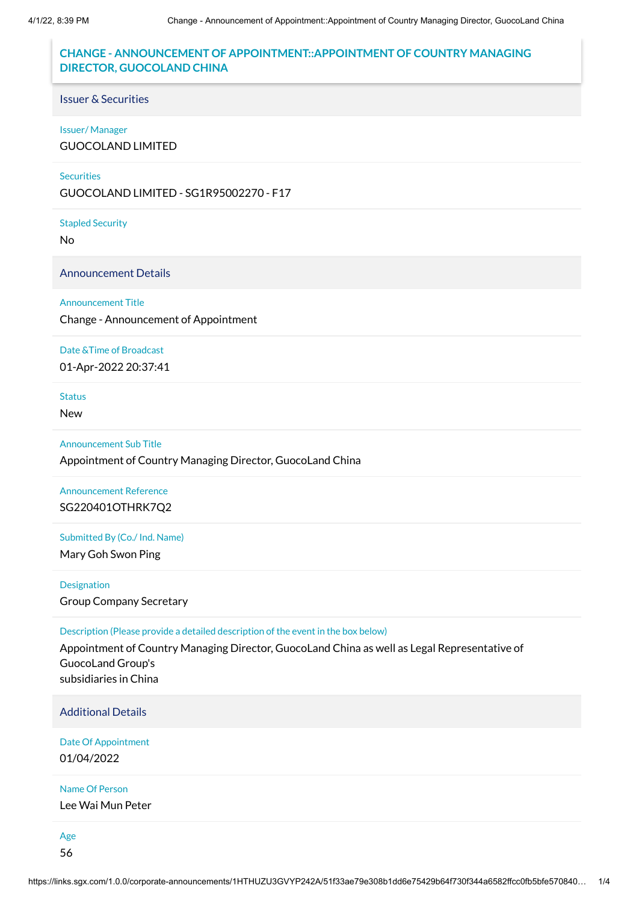# **CHANGE - ANNOUNCEMENT OF APPOINTMENT::APPOINTMENT OF COUNTRY MANAGING DIRECTOR, GUOCOLAND CHINA**

# Issuer & Securities

## Issuer/ Manager

GUOCOLAND LIMITED

### **Securities**

GUOCOLAND LIMITED - SG1R95002270 - F17

## Stapled Security

No

## Announcement Details

### Announcement Title

Change - Announcement of Appointment

## Date &Time of Broadcast

01-Apr-2022 20:37:41

## **Status**

New

# Announcement Sub Title

Appointment of Country Managing Director, GuocoLand China

# Announcement Reference SG220401OTHRK7Q2

# Submitted By (Co./ Ind. Name)

Mary Goh Swon Ping

Designation Group Company Secretary

## Description (Please provide a detailed description of the event in the box below)

Appointment of Country Managing Director, GuocoLand China as well as Legal Representative of GuocoLand Group's subsidiaries in China

# Additional Details

Date Of Appointment 01/04/2022

## Name Of Person

Lee Wai Mun Peter

Age 56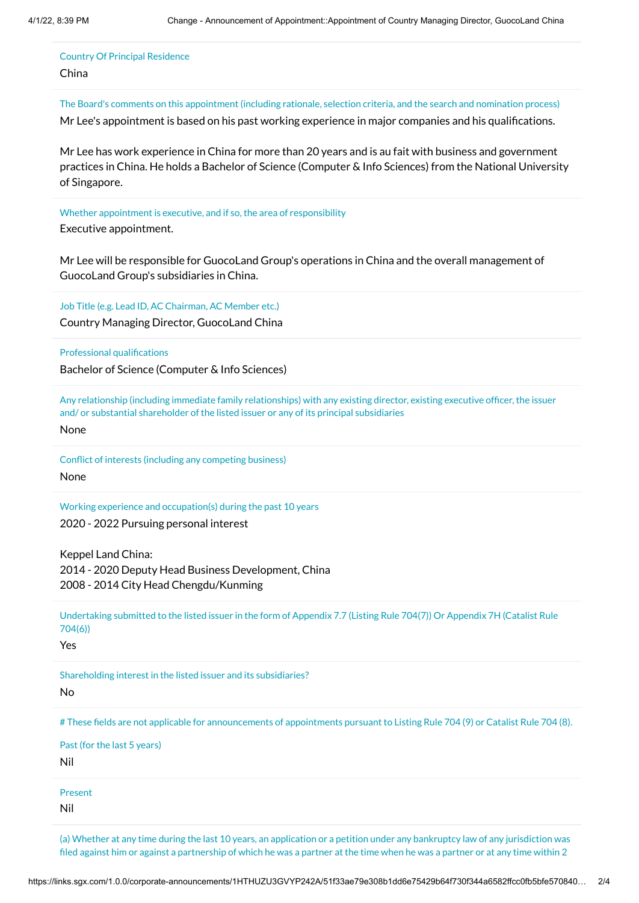# Country Of Principal Residence

## China

The Board's comments on this appointment (including rationale, selection criteria, and the search and nomination process)

Mr Lee's appointment is based on his past working experience in major companies and his qualifications.

Mr Lee has work experience in China for more than 20 years and is au fait with business and government practices in China. He holds a Bachelor of Science (Computer & Info Sciences) from the National University of Singapore.

# Whether appointment is executive, and if so, the area of responsibility

Executive appointment.

Mr Lee will be responsible for GuocoLand Group's operations in China and the overall management of GuocoLand Group's subsidiaries in China.

Job Title (e.g. Lead ID, AC Chairman, AC Member etc.)

Country Managing Director, GuocoLand China

Professional qualifications

Bachelor of Science (Computer & Info Sciences)

Any relationship (including immediate family relationships) with any existing director, existing executive officer, the issuer and/ or substantial shareholder of the listed issuer or any of its principal subsidiaries

None

Conflict of interests (including any competing business) None

Working experience and occupation(s) during the past 10 years 2020 - 2022 Pursuing personal interest

Keppel Land China: 2014 - 2020 Deputy Head Business Development, China 2008 - 2014 City Head Chengdu/Kunming

Undertaking submitted to the listed issuer in the form of Appendix 7.7 (Listing Rule 704(7)) Or Appendix 7H (Catalist Rule 704(6))

Yes

Shareholding interest in the listed issuer and its subsidiaries?

No

# These fields are not applicable for announcements of appointments pursuant to Listing Rule 704 (9) or Catalist Rule 704 (8).

Past (for the last 5 years)

Nil

Present

Nil

(a) Whether at any time during the last 10 years, an application or a petition under any bankruptcy law of any jurisdiction was filed against him or against a partnership of which he was a partner at the time when he was a partner or at any time within 2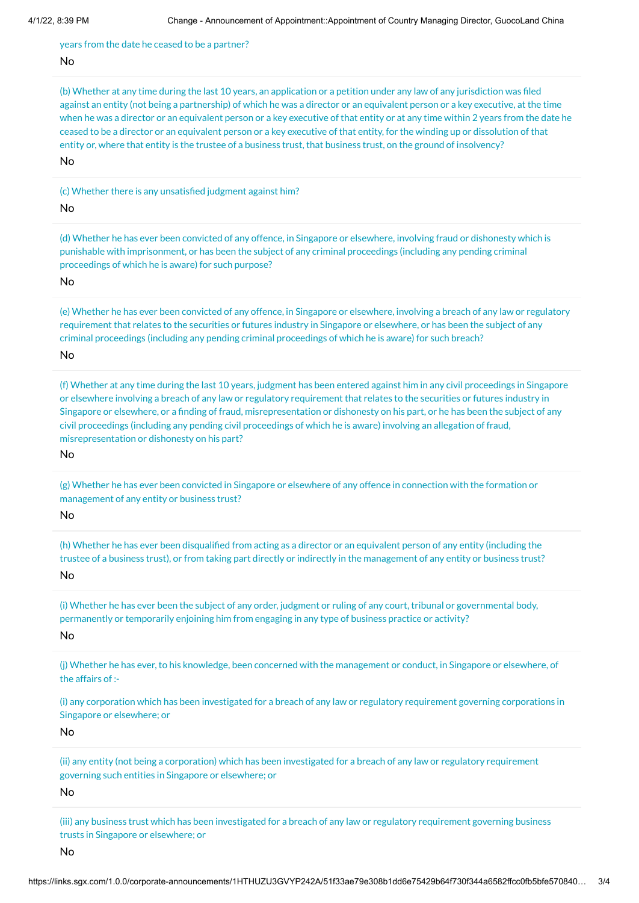years from the date he ceased to be a partner?

#### No

(b) Whether at any time during the last 10 years, an application or a petition under any law of any jurisdiction was filed against an entity (not being a partnership) of which he was a director or an equivalent person or a key executive, at the time when he was a director or an equivalent person or a key executive of that entity or at any time within 2 years from the date he ceased to be a director or an equivalent person or a key executive of that entity, for the winding up or dissolution of that entity or, where that entity is the trustee of a business trust, that business trust, on the ground of insolvency?

No

(c) Whether there is any unsatisfied judgment against him?

## No

(d) Whether he has ever been convicted of any offence, in Singapore or elsewhere, involving fraud or dishonesty which is punishable with imprisonment, or has been the subject of any criminal proceedings (including any pending criminal proceedings of which he is aware) for such purpose?

No

(e) Whether he has ever been convicted of any offence, in Singapore or elsewhere, involving a breach of any law or regulatory requirement that relates to the securities or futures industry in Singapore or elsewhere, or has been the subject of any criminal proceedings (including any pending criminal proceedings of which he is aware) for such breach? No

(f) Whether at any time during the last 10 years, judgment has been entered against him in any civil proceedings in Singapore or elsewhere involving a breach of any law or regulatory requirement that relates to the securities or futures industry in Singapore or elsewhere, or a finding of fraud, misrepresentation or dishonesty on his part, or he has been the subject of any civil proceedings (including any pending civil proceedings of which he is aware) involving an allegation of fraud, misrepresentation or dishonesty on his part?

No

(g) Whether he has ever been convicted in Singapore or elsewhere of any offence in connection with the formation or management of any entity or business trust?

No

(h) Whether he has ever been disqualified from acting as a director or an equivalent person of any entity (including the trustee of a business trust), or from taking part directly or indirectly in the management of any entity or business trust?

No

(i) Whether he has ever been the subject of any order, judgment or ruling of any court, tribunal or governmental body, permanently or temporarily enjoining him from engaging in any type of business practice or activity?

No

(j) Whether he has ever, to his knowledge, been concerned with the management or conduct, in Singapore or elsewhere, of the affairs of :-

(i) any corporation which has been investigated for a breach of any law or regulatory requirement governing corporations in Singapore or elsewhere; or

No

(ii) any entity (not being a corporation) which has been investigated for a breach of any law or regulatory requirement governing such entities in Singapore or elsewhere; or

No

(iii) any business trust which has been investigated for a breach of any law or regulatory requirement governing business trusts in Singapore or elsewhere; or

No